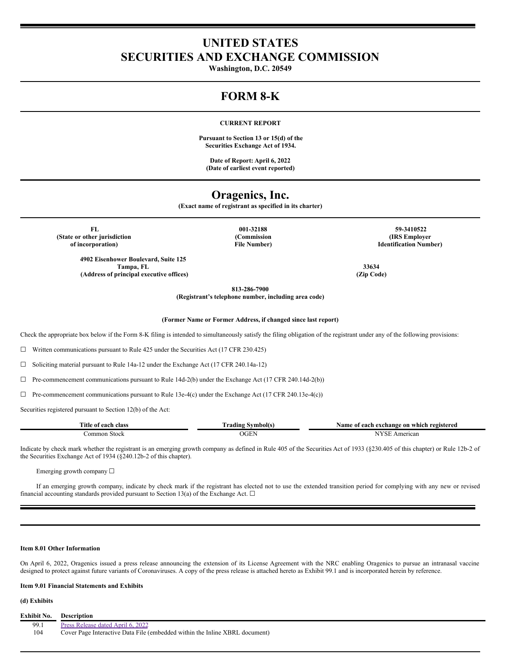# **UNITED STATES SECURITIES AND EXCHANGE COMMISSION**

**Washington, D.C. 20549**

# **FORM 8-K**

## **CURRENT REPORT**

**Pursuant to Section 13 or 15(d) of the Securities Exchange Act of 1934.**

**Date of Report: April 6, 2022 (Date of earliest event reported)**

## **Oragenics, Inc.**

**(Exact name of registrant as specified in its charter)**

**(State or other jurisdiction of incorporation)**

> **4902 Eisenhower Boulevard, Suite 125 Tampa, FL 33634 (Address of principal executive offices) (Zip Code)**

**(Commission File Number)**

**FL 001-32188 59-3410522 (IRS Employer Identification Number)**

**813-286-7900**

**(Registrant's telephone number, including area code)**

**(Former Name or Former Address, if changed since last report)**

Check the appropriate box below if the Form 8-K filing is intended to simultaneously satisfy the filing obligation of the registrant under any of the following provisions:

 $\Box$  Written communications pursuant to Rule 425 under the Securities Act (17 CFR 230.425)

☐ Soliciting material pursuant to Rule 14a-12 under the Exchange Act (17 CFR 240.14a-12)

 $\Box$  Pre-commencement communications pursuant to Rule 14d-2(b) under the Exchange Act (17 CFR 240.14d-2(b))

 $\Box$  Pre-commencement communications pursuant to Rule 13e-4(c) under the Exchange Act (17 CFR 240.13e-4(c))

Securities registered pursuant to Section 12(b) of the Act:

| Title<br>oloc<br>eacl<br>$^{\Omega}$<br>лам |   | reoisteren<br>. which<br>- on<br>Namı<br>cnange<br>. <del>.</del> |
|---------------------------------------------|---|-------------------------------------------------------------------|
| `omme<br>tool<br>.                          | . | 1can<br>n <sup>er</sup>                                           |

Indicate by check mark whether the registrant is an emerging growth company as defined in Rule 405 of the Securities Act of 1933 (§230.405 of this chapter) or Rule 12b-2 of the Securities Exchange Act of 1934 (§240.12b-2 of this chapter).

Emerging growth company  $\Box$ 

If an emerging growth company, indicate by check mark if the registrant has elected not to use the extended transition period for complying with any new or revised financial accounting standards provided pursuant to Section 13(a) of the Exchange Act.  $\Box$ 

## **Item 8.01 Other Information**

On April 6, 2022, Oragenics issued a press release announcing the extension of its License Agreement with the NRC enabling Oragenics to pursue an intranasal vaccine designed to protect against future variants of Coronaviruses. A copy of the press release is attached hereto as Exhibit 99.1 and is incorporated herein by reference.

### **Item 9.01 Financial Statements and Exhibits**

**(d) Exhibits**

**Exhibit No. Description** 99.1 Press [Release](#page-2-0) dated April 6, 2022<br>104 Cover Page Interactive Data File 104 Cover Page Interactive Data File (embedded within the Inline XBRL document)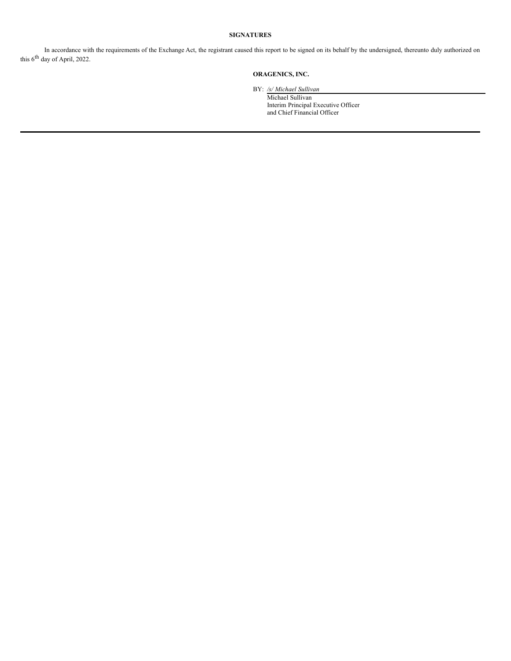## **SIGNATURES**

In accordance with the requirements of the Exchange Act, the registrant caused this report to be signed on its behalf by the undersigned, thereunto duly authorized on this 6<sup>th</sup> day of April, 2022.

## **ORAGENICS, INC.**

BY: */s/ Michael Sullivan*

Michael Sullivan Interim Principal Executive Officer and Chief Financial Officer